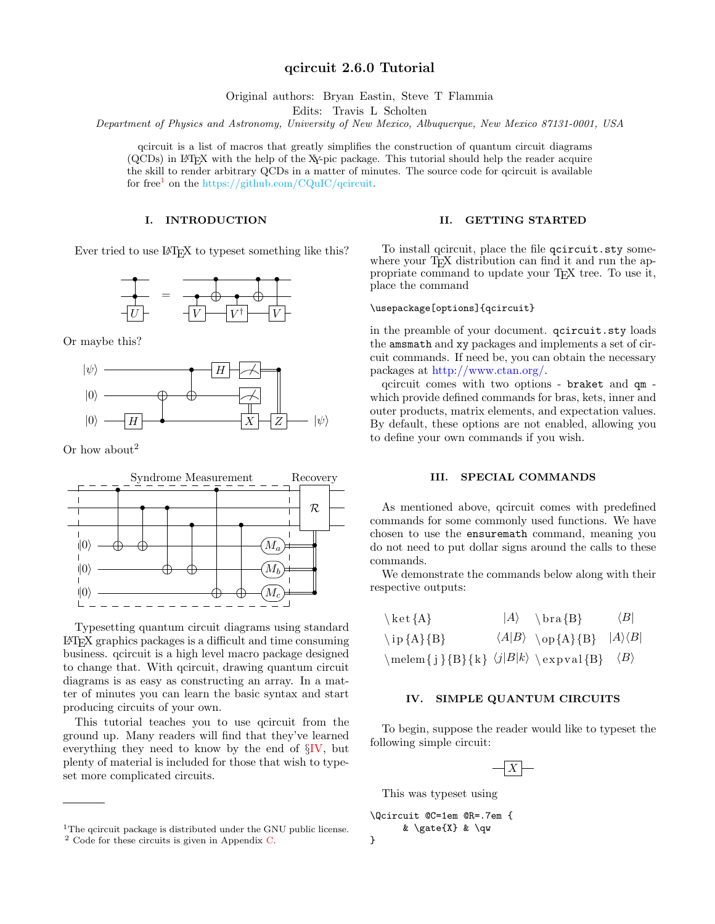# qcircuit 2.6.0 Tutorial

Original authors: Bryan Eastin, Steve T Flammia

Edits: Travis L Scholten

Department of Physics and Astronomy, University of New Mexico, Albuquerque, New Mexico 87131-0001, USA

qcircuit is a list of macros that greatly simplifies the construction of quantum circuit diagrams (QCDs) in LATEX with the help of the XY-pic package. This tutorial should help the reader acquire the skill to render arbitrary QCDs in a matter of minutes. The source code for qcircuit is available for free<sup>[1](#page-0-0)</sup> on the https://github.com/CQuIC/qcircuit.

# I. INTRODUCTION

Ever tried to use L<sup>AT</sup>EX to typeset something like this?



Or maybe this?



Or how about<sup>2</sup>



Typesetting quantum circuit diagrams using standard LATEX graphics packages is a difficult and time consuming business. qcircuit is a high level macro package designed to change that. With qcircuit, drawing quantum circuit diagrams is as easy as constructing an array. In a matter of minutes you can learn the basic syntax and start producing circuits of your own.

This tutorial teaches you to use qcircuit from the ground up. Many readers will find that they've learned everything they need to know by the end of  $\S$ [IV,](#page-0-1) but plenty of material is included for those that wish to typeset more complicated circuits.

## II. GETTING STARTED

To install qcircuit, place the file qcircuit.sty somewhere your T<sub>EX</sub> distribution can find it and run the appropriate command to update your TEX tree. To use it, place the command

# \usepackage[options]{qcircuit}

in the preamble of your document. qcircuit.sty loads the amsmath and xy packages and implements a set of circuit commands. If need be, you can obtain the necessary packages at [http://www.ctan.org/.](http://www.ctan.org/)

qcircuit comes with two options - braket and qm which provide defined commands for bras, kets, inner and outer products, matrix elements, and expectation values. By default, these options are not enabled, allowing you to define your own commands if you wish.

## III. SPECIAL COMMANDS

As mentioned above, qcircuit comes with predefined commands for some commonly used functions. We have chosen to use the ensuremath command, meaning you do not need to put dollar signs around the calls to these commands.

We demonstrate the commands below along with their respective outputs:

| $\setminus$ ket $\{A\}$                                                                     | $ A\rangle$ \bra {B}                               | $\langle B $ |
|---------------------------------------------------------------------------------------------|----------------------------------------------------|--------------|
| $\iota$ ip {A} {B}                                                                          | $\langle A B\rangle$ \op $\{A\}\{B\}$  A\\ampma B} |              |
| $\mbox{melen} \{j\} \{k\} \ \langle j B k \rangle \ \langle \exp \{j\} \ \langle B \rangle$ |                                                    |              |

# <span id="page-0-1"></span>IV. SIMPLE QUANTUM CIRCUITS

To begin, suppose the reader would like to typeset the following simple circuit:



This was typeset using

```
\Qcircuit @C=1em @R=.7em {
      & \gate{X} & \qw
```
}

<sup>&</sup>lt;sup>1</sup>The gcircuit package is distributed under the GNU public license.

<span id="page-0-0"></span><sup>2</sup> Code for these circuits is given in Appendix [C.](#page-7-0)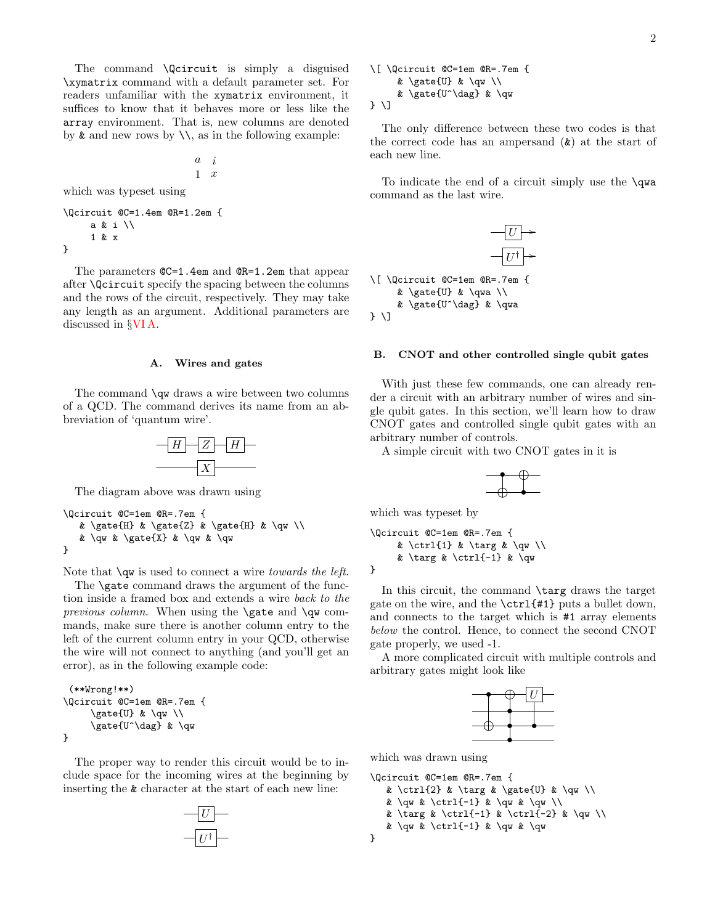The command \Qcircuit is simply a disguised \xymatrix command with a default parameter set. For readers unfamiliar with the xymatrix environment, it suffices to know that it behaves more or less like the array environment. That is, new columns are denoted by  $\&$  and new rows by  $\&set$ , as in the following example:

$$
\begin{matrix} a & i \\ 1 & x \end{matrix}
$$

which was typeset using

```
\Qcircuit @C=1.4em @R=1.2em {
     a & i \\
     1 & x
}
```
The parameters  $QC=1.4$ em and  $QR=1.2$ em that appear after \Qcircuit specify the spacing between the columns and the rows of the circuit, respectively. They may take any length as an argument. Additional parameters are discussed in §[VI A.](#page-5-0)

## A. Wires and gates

The command **\qw** draws a wire between two columns of a QCD. The command derives its name from an abbreviation of 'quantum wire'.



The diagram above was drawn using

```
\Qcircuit @C=1em @R=.7em {
   & \gate{H} & \gate{Z} & \gate{H} & \qw \\
   & \qw & \gate{X} & \qw & \qw
}
```
Note that  $\qquad$  is used to connect a wire *towards the left*.

The **\gate** command draws the argument of the function inside a framed box and extends a wire back to the previous column. When using the  $\gamma$  ate and  $\gamma$  commands, make sure there is another column entry to the left of the current column entry in your QCD, otherwise the wire will not connect to anything (and you'll get an error), as in the following example code:

```
(**Wrong!**)
\Qcircuit @C=1em @R=.7em {
     \gate{U} & \qw \\
     \gate{U^\dag} & \qw
}
```
The proper way to render this circuit would be to include space for the incoming wires at the beginning by inserting the & character at the start of each new line:

$$
\begin{array}{c}\n-\boxed{U} \\
\hline\n-\boxed{U^{\dagger}}\n\end{array}
$$

\[ \Qcircuit @C=1em @R=.7em { & \gate{U} & \qw \\ & \gate{U^\dag} & \qw } \]

The only difference between these two codes is that the correct code has an ampersand  $(\&)$  at the start of each new line.

To indicate the end of a circuit simply use the \qwa command as the last wire.



## <span id="page-1-0"></span>B. CNOT and other controlled single qubit gates

With just these few commands, one can already render a circuit with an arbitrary number of wires and single qubit gates. In this section, we'll learn how to draw CNOT gates and controlled single qubit gates with an arbitrary number of controls.

A simple circuit with two CNOT gates in it is



which was typeset by

```
\Qcircuit @C=1em @R=.7em {
      & \ctrl{1} & \targ & \qw \\
      & \text{arg } \text{curl}(-1) \& \qquad \text{QW}}
```
In this circuit, the command \targ draws the target gate on the wire, and the \ctrl{#1} puts a bullet down, and connects to the target which is #1 array elements below the control. Hence, to connect the second CNOT gate properly, we used -1.

A more complicated circuit with multiple controls and arbitrary gates might look like



which was drawn using

```
\Qcircuit @C=1em @R=.7em {
   & \ctrl{2} & \targ & \gate{U} & \qw \\
   & \quq k \text{-1} & \quq k \qquad \wedge& \targ & \ctrl{-1} & \ctrl{-2} & \qw \\
   & \quq k \text{-1} & \quq k \qq w}
```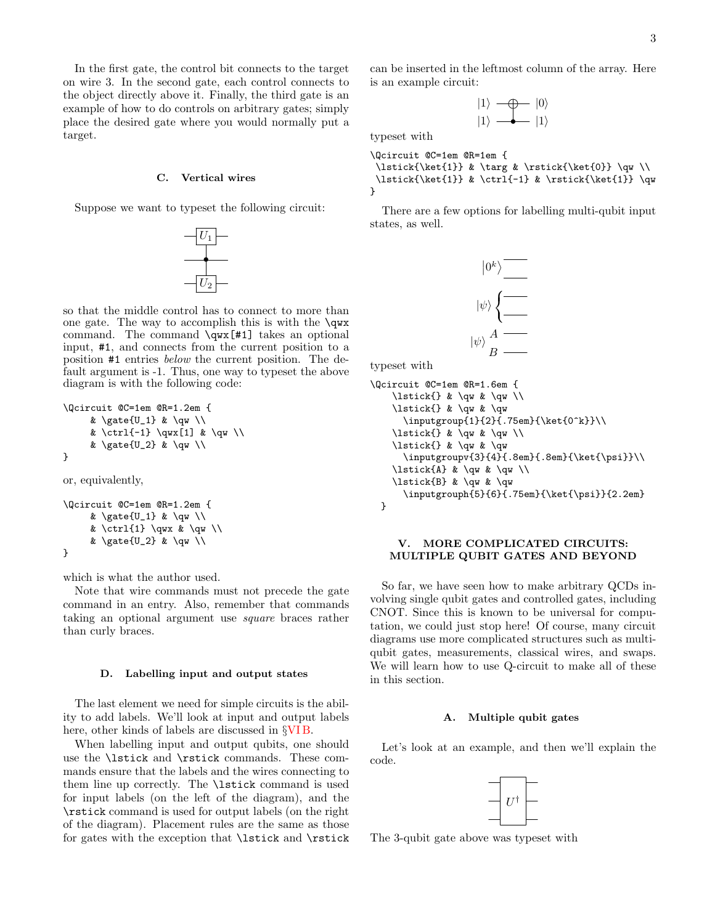In the first gate, the control bit connects to the target on wire 3. In the second gate, each control connects to the object directly above it. Finally, the third gate is an example of how to do controls on arbitrary gates; simply place the desired gate where you would normally put a target.

## C. Vertical wires

Suppose we want to typeset the following circuit:



so that the middle control has to connect to more than one gate. The way to accomplish this is with the  $\qquadsqrt{w}$ command. The command \qwx[#1] takes an optional input, #1, and connects from the current position to a position #1 entries below the current position. The default argument is -1. Thus, one way to typeset the above diagram is with the following code:

```
\Qcircuit @C=1em @R=1.2em {
     & \gamma \leq U_1 & \gamma \& \ctrl{-1} \qwx[1] & \qw \\
     & \gamma \gate{U_2} & \qw \\
}
or, equivalently,
```

```
\Qcircuit @C=1em @R=1.2em {
     & \gate{U_1} & \qw \\
     & \ctrl{1} \qwx & \qw \\
     & \gate{U_2} & \qw \\
}
```
which is what the author used.

Note that wire commands must not precede the gate command in an entry. Also, remember that commands taking an optional argument use square braces rather than curly braces.

#### <span id="page-2-1"></span>D. Labelling input and output states

The last element we need for simple circuits is the ability to add labels. We'll look at input and output labels here, other kinds of labels are discussed in §[VI B.](#page-6-0)

When labelling input and output qubits, one should use the \lstick and \rstick commands. These commands ensure that the labels and the wires connecting to them line up correctly. The \lstick command is used for input labels (on the left of the diagram), and the \rstick command is used for output labels (on the right of the diagram). Placement rules are the same as those for gates with the exception that \lstick and \rstick can be inserted in the leftmost column of the array. Here is an example circuit:

$$
|1\rangle \longrightarrow |0\rangle
$$
  

$$
|1\rangle \longrightarrow |1\rangle
$$

typeset with

```
\Qcircuit @C=1em @R=1em {
 \lstick{\ket{1}} & \targ & \rstick{\ket{0}} \qw \\
 \lstick{\ket{1}} & \ctrl{-1} & \rstick{\ket{1}} \qw
}
```
There are a few options for labelling multi-qubit input states, as well.



typeset with

```
\Qcircuit @C=1em @R=1.6em {
    \lstick{} & \qw & \qw \\
    \lstick{} & \qw & \qw
      \inputgroup{1}{2}{.75em}{\ket{0^k}}\\
    \lstick{} & \qw & \qw \\
    \lstick{} & \qw & \qw
      \inputgroupv{3}{4}{.8em}{.8em}{\ket{\psi}}\\
    \lstick{A} & \qw & \qw \\
    \lstick{B} & \qw & \qw
      \inputgrouph{5}{6}{.75em}{\ket{\psi}}{2.2em}
 }
```
# V. MORE COMPLICATED CIRCUITS: MULTIPLE QUBIT GATES AND BEYOND

So far, we have seen how to make arbitrary QCDs involving single qubit gates and controlled gates, including CNOT. Since this is known to be universal for computation, we could just stop here! Of course, many circuit diagrams use more complicated structures such as multiqubit gates, measurements, classical wires, and swaps. We will learn how to use Q-circuit to make all of these in this section.

# <span id="page-2-0"></span>A. Multiple qubit gates

Let's look at an example, and then we'll explain the code.



The 3-qubit gate above was typeset with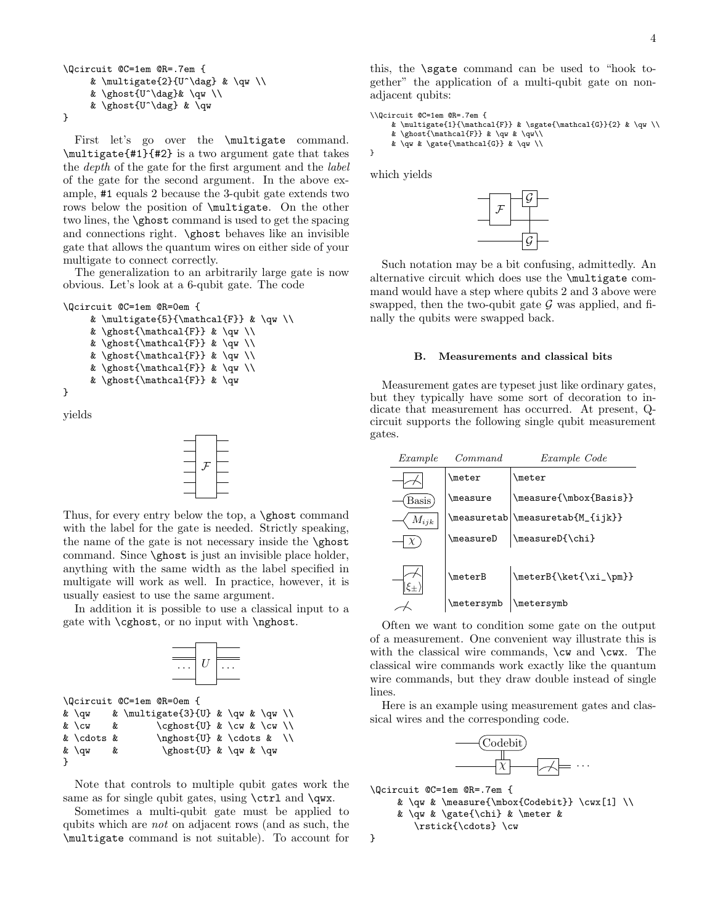```
\Qcircuit @C=1em @R=.7em {
     & \multigate{2}{U^\dag} & \qw \\
     & \ghost{U^\dag}& \qw \\
     & \ghost{U^\dag} & \qw
}
```
First let's go over the **\multigate** command. \multigate{#1}{#2} is a two argument gate that takes the depth of the gate for the first argument and the label of the gate for the second argument. In the above example, #1 equals 2 because the 3-qubit gate extends two rows below the position of \multigate. On the other two lines, the \ghost command is used to get the spacing and connections right. \ghost behaves like an invisible gate that allows the quantum wires on either side of your multigate to connect correctly.

The generalization to an arbitrarily large gate is now obvious. Let's look at a 6-qubit gate. The code

```
\Qcircuit @C=1em @R=0em {
     & \multigate{5}{\mathcal{F}} & \qw \\
     & \ghost{\mathcal{F}} & \qw \\
     & \ghost{\mathcal{F}} & \qw \\
     & \ghost{\mathcal{F}} & \qw \\
     & \ghost{\mathcal{F}} & \qw \\
     & \ghost{\mathcal{F}} & \qw
}
```
yields

}



Thus, for every entry below the top, a \ghost command with the label for the gate is needed. Strictly speaking, the name of the gate is not necessary inside the \ghost command. Since \ghost is just an invisible place holder, anything with the same width as the label specified in multigate will work as well. In practice, however, it is usually easiest to use the same argument.

In addition it is possible to use a classical input to a gate with \cghost, or no input with \nghost.



Note that controls to multiple qubit gates work the same as for single qubit gates, using **\ctrl** and **\qwx**.

Sometimes a multi-qubit gate must be applied to qubits which are not on adjacent rows (and as such, the \multigate command is not suitable). To account for

this, the \sgate command can be used to "hook together" the application of a multi-qubit gate on nonadjacent qubits:

```
\\Qcircuit @C=1em @R=.7em {
     \label{thm:main} $$\mathcal{1}^{\mathbf{F}} \ & \sgate{\mathcal{G}}{2} \ & \quv \\\& \ghost{\mathcal{F}} & \qw & \qw\\
     & \qw & \gate{\mathcal{G}} & \qw \\
```
which yields

}



Such notation may be a bit confusing, admittedly. An alternative circuit which does use the \multigate command would have a step where qubits 2 and 3 above were swapped, then the two-qubit gate  $\mathcal G$  was applied, and finally the qubits were swapped back.

## B. Measurements and classical bits

Measurement gates are typeset just like ordinary gates, but they typically have some sort of decoration to indicate that measurement has occurred. At present, Qcircuit supports the following single qubit measurement gates.

| Example             | Command         | Example Code           |
|---------------------|-----------------|------------------------|
|                     | <b>\meter</b>   | <b>\meter</b>          |
| Basis               | <b>\measure</b> | \measure{\mbox{Basis}} |
| $\mathcal{M}_{ijk}$ | \measuretab     | \measuretab{M_{ijk}}   |
|                     | \measureD       | \measureD{\chi}        |
|                     | <b>\meterB</b>  | \meterB{\ket{\xi_\pm}} |
|                     | \metersymb      | \metersymb             |

Often we want to condition some gate on the output of a measurement. One convenient way illustrate this is with the classical wire commands,  $\cw$  and  $\c$ wx. The classical wire commands work exactly like the quantum wire commands, but they draw double instead of single lines.

Here is an example using measurement gates and classical wires and the corresponding code.



```
\Qcircuit @C=1em @R=.7em {
      & \qu & \measuredangle \complement \curlyeq \curlyeq \curlyeq \curlyeq \curlyeq& \qw & \gate{\chi} & \meter &
          \rstick{\cdots} \cw
}
```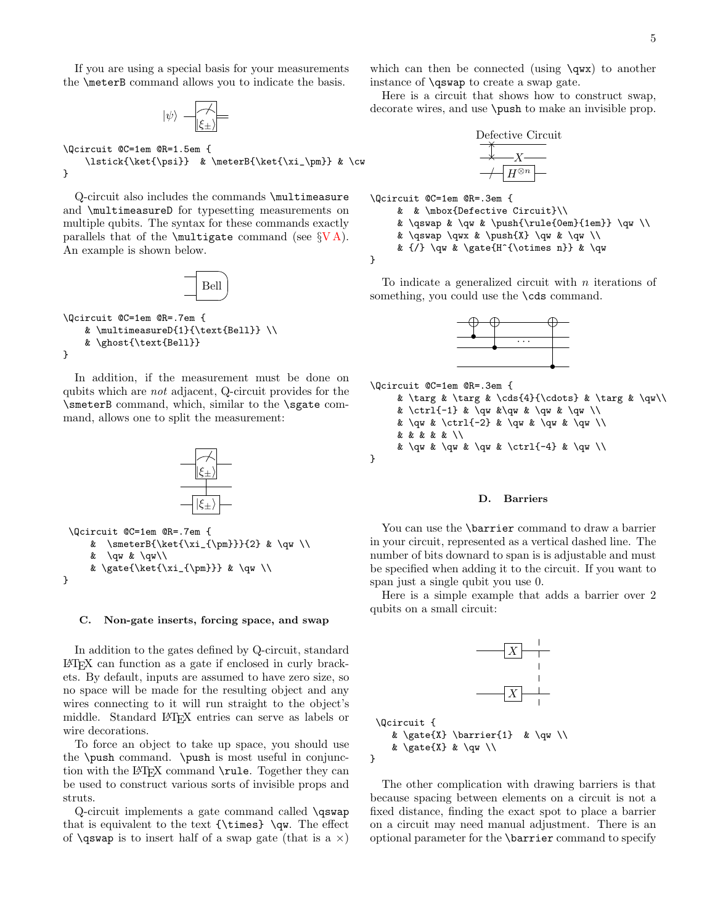If you are using a special basis for your measurements the \meterB command allows you to indicate the basis.

$$
|\psi\rangle = \boxed{\overset{\nearrow}{\xi_{\pm}}}
$$

\Qcircuit @C=1em @R=1.5em { \lstick{\ket{\psi}} & \meterB{\ket{\xi\_\pm}} & \cw }

Q-circuit also includes the commands \multimeasure and \multimeasureD for typesetting measurements on multiple qubits. The syntax for these commands exactly parallels that of the  $\mathcal{SVA}$ . An example is shown below.

$$
\boxed{\phantom{\cdot}}_{\rm Bell}
$$

```
\Qcircuit @C=1em @R=.7em {
    & \multimeasureD{1}{\text{Bell}} \\
    & \ghost{\text{Bell}}
}
```
In addition, if the measurement must be done on qubits which are not adjacent, Q-circuit provides for the \smeterB command, which, similar to the \sgate command, allows one to split the measurement:



#### <span id="page-4-0"></span>C. Non-gate inserts, forcing space, and swap

In addition to the gates defined by Q-circuit, standard LATEX can function as a gate if enclosed in curly brackets. By default, inputs are assumed to have zero size, so no space will be made for the resulting object and any wires connecting to it will run straight to the object's middle. Standard LATEX entries can serve as labels or wire decorations.

To force an object to take up space, you should use the \push command. \push is most useful in conjunction with the L<sup>AT</sup>EX command **\rule**. Together they can be used to construct various sorts of invisible props and struts.

Q-circuit implements a gate command called \qswap that is equivalent to the text  ${\times} \qquad$ . The effect of **\qswap** is to insert half of a swap gate (that is a  $\times$ )

which can then be connected (using  $\qquadsqrt{q}w$ x) to another instance of \qswap to create a swap gate.

Here is a circuit that shows how to construct swap, decorate wires, and use \push to make an invisible prop.

$$
\begin{array}{c}\n\text{Defective Circuit} \\
\hline\n\diagdown{\overline{\phantom{a}}}\diagdown{\overline{\phantom{a}}}\diagdown{\overline{\phantom{a}}}\diagdown\\ \hline\n\diagdown{\overline{\phantom{a}}}\diagdown\\ \hline\n\diagdown{\overline{\phantom{a}}}\diagdown\\ \hline\n\diagdown\\ \hline\n\diagdown\\ \hline\n\diagdown\\ \hline\n\diagdown\\ \hline\n\diagdown\\ \hline\n\diagdown\\ \hline\n\diagdown\\ \hline\n\diagdown\\ \hline\n\diagdown\\ \hline\n\diagdown\\ \hline\n\diagdown\\ \hline\n\diagdown\\ \hline\n\diagdown\\ \hline\n\diagdown\\ \hline\n\diagdown\\ \hline\n\diagdown\\ \hline\n\diagdown\\ \hline\n\diagdown\\ \hline\n\diagdown\\ \hline\n\diagdown\\ \hline\n\diagdown\\ \hline\n\diagdown\\ \hline\n\diagdown\\ \hline\n\diagdown\\ \hline\n\diagdown\\ \hline\n\diagdown\\ \hline\n\diagdown\\ \hline\n\diagdown\\ \hline\n\diagdown\\ \hline\n\diagdown\\ \hline\n\diagdown\\ \hline\n\diagdown\\ \hline\n\diagdown\\ \hline\n\diagdown\\ \hline\n\diagdown\\ \hline\n\diagdown\\ \hline\n\diagdown\\ \hline\n\diagdown\\ \hline\n\diagdown\\ \hline\n\diagdown\\ \hline\n\diagdown\\ \hline\n\diagdown\\ \hline\n\diagdown\\ \hline\n\diagdown\\ \hline\n\diagdown\\ \hline\n\diagdown\\ \hline\n\diagdown\\ \hline\n\diagdown\\ \hline\n\diagdown\\ \hline\n\diagdown\\ \hline\n\diagdown\\ \hline\n\diagdown\\ \hline\n\diagdown\\ \hline\n\diagdown\\ \hline\n\diagdown\\ \hline\n\diagdown\\ \hline\n\diagdown\\ \hline\n\diagdown\\ \hline\n\diagdown\\ \hline\n\diagdown\\ \hline\n\diagdown\\ \hline\n\diagdown\\ \hline\n\diagdown\\ \hline\n\diagdown\\ \hline\n\diagdown\\ \hline\n\diagdown\\ \hline\n\diagdown\\ \hline\n\diagdown\\ \hline\n\diagdown\\ \hline\n\diagdown\\ \hline\n\diagdown\\ \hline\n\diagdown\\ \hline\n\diagdown\\ \hline\n\diagdown\\ \hline\n\diagdown\\ \hline\n\diagdown\\ \hline\n\diagdown\\ \hline\n\diagdown\\ \hline\n\diagdown\\ \hline\n\diagdown\\ \hline\n\diagdown\\ \hline\n\diagdown\\ \hline
$$

\Qcircuit @C=1em @R=.3em {

& & \mbox{Defective Circuit}\\

& \qswap & \qw & \push{\rule{0em}{1em}} \qw \\

&  $\qquad \qquad \text{ k } \qquad \qquad \qquad \text{ k } \qquad \qquad \text{ k } \qquad \qquad \text{ k } \qquad \qquad \text{ k } \qquad \qquad \text{ k } \qquad \qquad \text{ k } \qquad \qquad \text{ k } \qquad \qquad \text{ k } \qquad \qquad \text{ k } \qquad \qquad \text{ k } \qquad \qquad \text{ k } \qquad \qquad \text{ k } \qquad \qquad \text{ k } \qquad \text{ k } \qquad \text{ k } \qquad \text{ k } \qquad \text{ k } \qquad \text{ k } \qquad \text{ k } \qquad \text{ k } \qquad \text$ 

&  $\{\prime\}$  \qw & \gate{H^{\otimes n}} & \qw

}

To indicate a generalized circuit with  $n$  iterations of something, you could use the **\cds** command.



```
\Qcircuit @C=1em @R=.3em {
     & \targ & \targ & \cds{4}{\cdots} & \targ & \qw\\
     & \ctrl{-1} & \qw &\qw & \qw & \qw \\
     & \qw & \ctrl{-2} & \qw & \qw & \qw \\
     & & & & & \\
     & \qw & \qw & \qw & \ctrl{-4} & \qw \\
}
```
# D. Barriers

You can use the **\barrier** command to draw a barrier in your circuit, represented as a vertical dashed line. The number of bits downard to span is is adjustable and must be specified when adding it to the circuit. If you want to span just a single qubit you use 0.

Here is a simple example that adds a barrier over 2 qubits on a small circuit:



The other complication with drawing barriers is that because spacing between elements on a circuit is not a fixed distance, finding the exact spot to place a barrier on a circuit may need manual adjustment. There is an optional parameter for the \barrier command to specify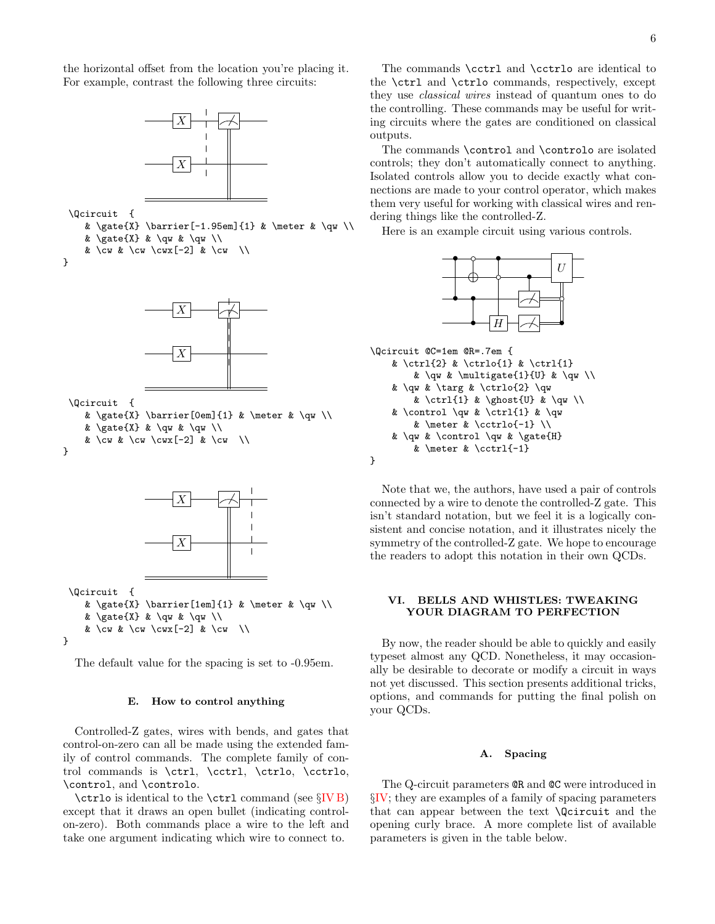the horizontal offset from the location you're placing it. For example, contrast the following three circuits:



\Qcircuit {

& \gate{X} \barrier[-1.95em]{1} & \meter & \qw \\ &  $\gamma \leq \gamma$  &  $\gamma \leq \gamma$ 

& \cw & \cw \cwx[-2] & \cw \\

}



\Qcircuit {

& \gate{X} \barrier[0em]{1} & \meter & \qw \\ &  $\gamma \leq \gamma$  &  $\gamma \leq \gamma$ 

& \cw & \cw \cwx[-2] & \cw \\

}



\Qcircuit {

& \gate{X} \barrier[1em]{1} & \meter & \qw \\ &  $\gamma \$  &  $\gamma \$ & \cw & \cw \cwx[-2] & \cw \\ }

The default value for the spacing is set to -0.95em.

## E. How to control anything

Controlled-Z gates, wires with bends, and gates that control-on-zero can all be made using the extended family of control commands. The complete family of control commands is \ctrl, \cctrl, \ctrlo, \cctrlo, \control, and \controlo.

\ctrlo is identical to the \ctrl command (see §[IV B\)](#page-1-0) except that it draws an open bullet (indicating controlon-zero). Both commands place a wire to the left and take one argument indicating which wire to connect to.

The commands \cctrl and \cctrlo are identical to the \ctrl and \ctrlo commands, respectively, except they use classical wires instead of quantum ones to do the controlling. These commands may be useful for writing circuits where the gates are conditioned on classical outputs.

The commands \control and \controlo are isolated controls; they don't automatically connect to anything. Isolated controls allow you to decide exactly what connections are made to your control operator, which makes them very useful for working with classical wires and rendering things like the controlled-Z.

Here is an example circuit using various controls.



```
\Qcircuit @C=1em @R=.7em {
    & \ctrl{2} & \ctrlo{1} & \ctrl{1}
        & \qw & \multigate{1}{U} & \qw \\
    & \qw & \targ & \ctrlo{2} \qw
        & \ctrl{1} & \ghost{U} & \qw \\
    & \control \qw & \ctrl{1} & \qw
        & \meter & \cctrlo{-1} \\
    & \qw & \control \qw & \gate{H}
        & \meter & \cctrl{-1}
}
```
Note that we, the authors, have used a pair of controls connected by a wire to denote the controlled-Z gate. This isn't standard notation, but we feel it is a logically consistent and concise notation, and it illustrates nicely the symmetry of the controlled-Z gate. We hope to encourage the readers to adopt this notation in their own QCDs.

# VI. BELLS AND WHISTLES: TWEAKING YOUR DIAGRAM TO PERFECTION

By now, the reader should be able to quickly and easily typeset almost any QCD. Nonetheless, it may occasionally be desirable to decorate or modify a circuit in ways not yet discussed. This section presents additional tricks, options, and commands for putting the final polish on your QCDs.

## <span id="page-5-0"></span>A. Spacing

The Q-circuit parameters @R and @C were introduced in §[IV;](#page-0-1) they are examples of a family of spacing parameters that can appear between the text \Qcircuit and the opening curly brace. A more complete list of available parameters is given in the table below.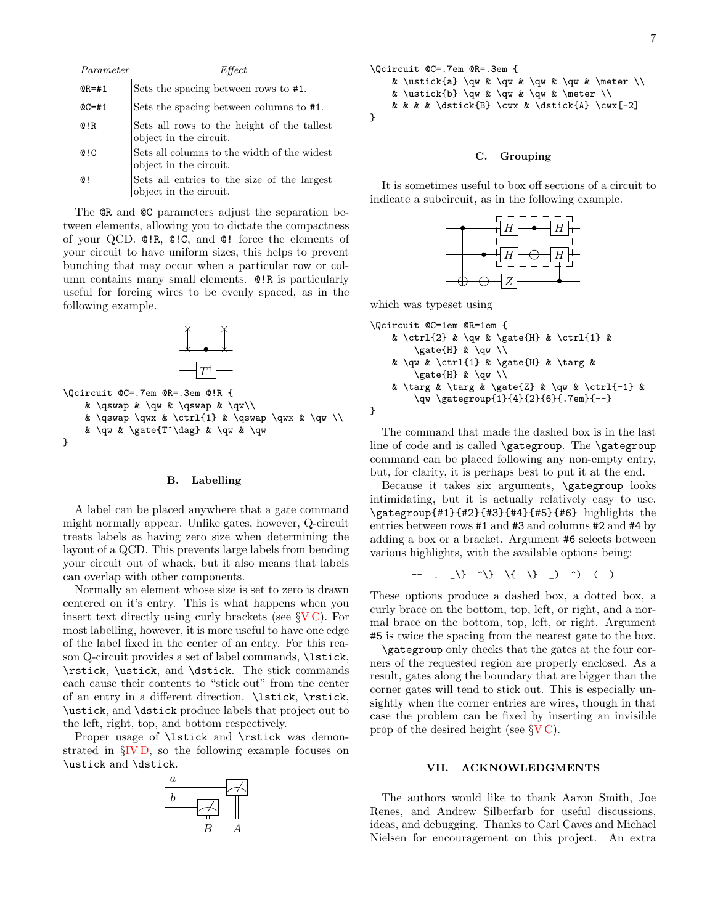| Parameter        | Effect                                                                |
|------------------|-----------------------------------------------------------------------|
| $QR = #1$        | Sets the spacing between rows to #1.                                  |
| $QC = #1$        | Sets the spacing between columns to #1.                               |
| $Q$ !R.          | Sets all rows to the height of the tallest<br>object in the circuit.  |
| Q <sub>1</sub> C | Sets all columns to the width of the widest<br>object in the circuit. |
| Q!               | Sets all entries to the size of the largest<br>object in the circuit. |

The **QR** and **QC** parameters adjust the separation between elements, allowing you to dictate the compactness of your QCD. @!R, @!C, and @! force the elements of your circuit to have uniform sizes, this helps to prevent bunching that may occur when a particular row or column contains many small elements. @!R is particularly useful for forcing wires to be evenly spaced, as in the following example.



```
& \qswap & \qw & \qswap & \qw\\
    & \qswap \qwx & \ctrl{1} & \qswap \qwx & \qw \\
    & \qw & \gate{T^\dag} & \qw & \qw
}
```
# <span id="page-6-0"></span>B. Labelling

A label can be placed anywhere that a gate command might normally appear. Unlike gates, however, Q-circuit treats labels as having zero size when determining the layout of a QCD. This prevents large labels from bending your circuit out of whack, but it also means that labels can overlap with other components.

Normally an element whose size is set to zero is drawn centered on it's entry. This is what happens when you insert text directly using curly brackets (see  $\gamma V C$ ). For most labelling, however, it is more useful to have one edge of the label fixed in the center of an entry. For this reason Q-circuit provides a set of label commands, \lstick, \rstick, \ustick, and \dstick. The stick commands each cause their contents to "stick out" from the center of an entry in a different direction. \lstick, \rstick, \ustick, and \dstick produce labels that project out to the left, right, top, and bottom respectively.

Proper usage of **\lstick** and **\rstick** was demonstrated in §[IV D,](#page-2-1) so the following example focuses on \ustick and \dstick.



7



## C. Grouping

It is sometimes useful to box off sections of a circuit to indicate a subcircuit, as in the following example.



which was typeset using

}

```
\Qcircuit @C=1em @R=1em {
   & \ctrl{2} & \qw & \gate{H} & \ctrl{1} &
       \gate{H} & \qw \\
   & \qw & \ctrl{1} & \gate{H} & \targ &
        \gate{H} & \qw \\
   & \targ & \targ & \gate{Z} & \qw & \ctrl{-1} &
        \qw \gategroup{1}{4}{2}{6}{.7em}{--}
```
The command that made the dashed box is in the last line of code and is called \gategroup. The \gategroup command can be placed following any non-empty entry, but, for clarity, it is perhaps best to put it at the end.

Because it takes six arguments, \gategroup looks intimidating, but it is actually relatively easy to use. \gategroup{#1}{#2}{#3}{#4}{#5}{#6} highlights the entries between rows #1 and #3 and columns #2 and #4 by adding a box or a bracket. Argument #6 selects between various highlights, with the available options being:

$$
--\ .\ .\ )\ ( )\ ( )
$$

These options produce a dashed box, a dotted box, a curly brace on the bottom, top, left, or right, and a normal brace on the bottom, top, left, or right. Argument #5 is twice the spacing from the nearest gate to the box.

\gategroup only checks that the gates at the four corners of the requested region are properly enclosed. As a result, gates along the boundary that are bigger than the corner gates will tend to stick out. This is especially unsightly when the corner entries are wires, though in that case the problem can be fixed by inserting an invisible prop of the desired height (see  $\gamma V C$ ).

# VII. ACKNOWLEDGMENTS

The authors would like to thank Aaron Smith, Joe Renes, and Andrew Silberfarb for useful discussions, ideas, and debugging. Thanks to Carl Caves and Michael Nielsen for encouragement on this project. An extra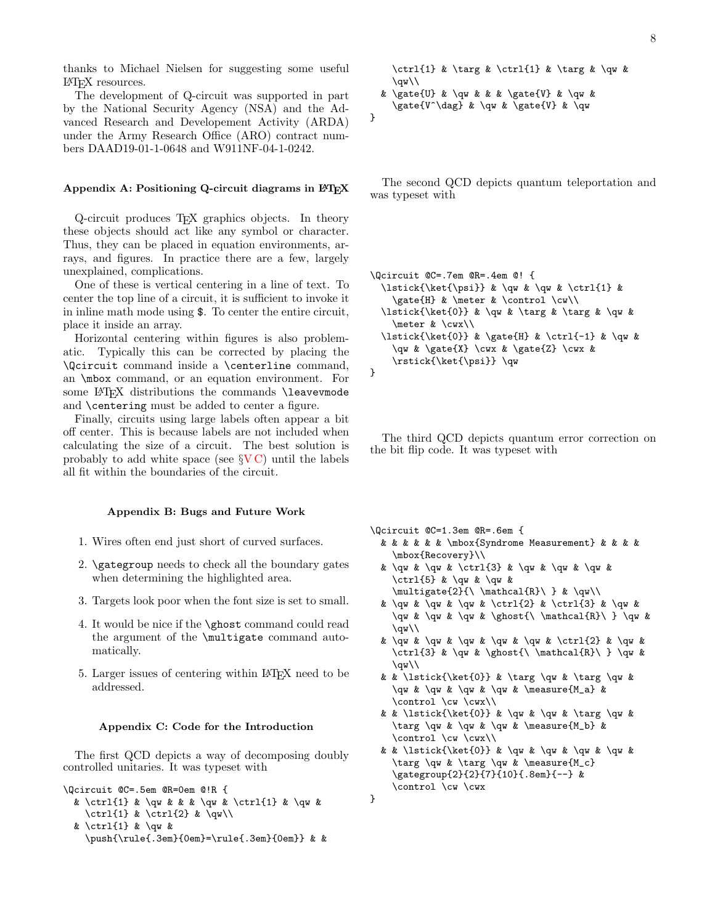thanks to Michael Nielsen for suggesting some useful LATEX resources.

The development of Q-circuit was supported in part by the National Security Agency (NSA) and the Advanced Research and Developement Activity (ARDA) under the Army Research Office (ARO) contract numbers DAAD19-01-1-0648 and W911NF-04-1-0242.

## Appendix A: Positioning Q-circuit diagrams in  $\mathbb{F}T_FX$

Q-circuit produces TEX graphics objects. In theory these objects should act like any symbol or character. Thus, they can be placed in equation environments, arrays, and figures. In practice there are a few, largely unexplained, complications.

One of these is vertical centering in a line of text. To center the top line of a circuit, it is sufficient to invoke it in inline math mode using \$. To center the entire circuit, place it inside an array.

Horizontal centering within figures is also problematic. Typically this can be corrected by placing the \Qcircuit command inside a \centerline command, an \mbox command, or an equation environment. For some LAT<sub>EX</sub> distributions the commands **\leavevmode** and \centering must be added to center a figure.

Finally, circuits using large labels often appear a bit off center. This is because labels are not included when calculating the size of a circuit. The best solution is probably to add white space (see §[V C\)](#page-4-0) until the labels all fit within the boundaries of the circuit.

# Appendix B: Bugs and Future Work

- 1. Wires often end just short of curved surfaces.
- 2. \gategroup needs to check all the boundary gates when determining the highlighted area.
- 3. Targets look poor when the font size is set to small.
- 4. It would be nice if the \ghost command could read the argument of the \multigate command automatically.
- 5. Larger issues of centering within LATEX need to be addressed.

## <span id="page-7-0"></span>Appendix C: Code for the Introduction

The first QCD depicts a way of decomposing doubly controlled unitaries. It was typeset with

```
\Qcircuit @C=.5em @R=0em @!R {
```

```
& \ctrl{1} & \qw & & & \qw & \ctrl{1} & \qw &
  \ctrl{1} & \ctrl{2} & \qw\\
```

```
& \ctrl{1} & \qw &
```
\push{\rule{.3em}{0em}=\rule{.3em}{0em}} & &

```
\ctrl{1} & \targ & \ctrl{1} & \targ & \qw &
    \qquad\vee& \gate{U} & \qw & & & \gate{V} & \qw &
    \gate{V^\dag} & \qw & \gate{V} & \qw
}
```
The second QCD depicts quantum teleportation and was typeset with

```
\Qcircuit @C=.7em @R=.4em @! {
  \lstick{\ket{\psi}} & \qw & \qw & \ctrl{1} &
    \gate{H} & \meter & \control \cw\\
  \lstick{\ket{0}} & \qw & \targ & \targ & \qw &
    \meter & \cwx\\
  \lstick{\ket{0}} & \gate{H} & \ctrl{-1} & \qw &
    \qw & \gate{X} \cwx & \gate{Z} \cwx &
    \rstick{\ket{\psi}} \qw
}
```
The third QCD depicts quantum error correction on the bit flip code. It was typeset with

\Qcircuit @C=1.3em @R=.6em {

}

- & & & & & & \mbox{Syndrome Measurement} & & & & \mbox{Recovery}\\
- & \qw & \qw & \ctrl{3} & \qw & \qw & \qw & \ctrl{5} & \qw & \qw &  $\mathcal{2}$ {\ \mathcal{R}\ } & \qw\\
- & \qw & \qw & \qw & \ctrl{2} & \ctrl{3} & \qw & \qw & \qw & \qw & \ghost{\ \mathcal{R}\ } \qw &  $\sqrt{w}\$
- & \qw & \qw & \qw & \qw & \qw & \ctrl{2} & \qw & \ctrl{3} & \qw & \ghost{\ \mathcal{R}\ } \qw &  $\varphi$
- & & \lstick{\ket{0}} & \targ \qw & \targ \qw &  $\qquad$  &  $\qquad$   $\qquad$   $\qquad$   $\qquad$   $\qquad$   $\qquad$   $\qquad$   $\qquad$   $\qquad$   $\qquad$   $\qquad$   $\qquad$   $\qquad$   $\qquad$   $\qquad$   $\qquad$   $\qquad$   $\qquad$   $\qquad$   $\qquad$   $\qquad$   $\qquad$   $\qquad$   $\qquad$   $\qquad$   $\qquad$   $\qquad$   $\qquad$   $\qquad$   $\qquad$   $\qquad$   $\qquad$   $\qquad$   $\qquad$   $\qquad$   $\q$ \control \cw \cwx\\
- & & \lstick{\ket{0}} & \qw & \qw & \targ \qw & \targ \qw & \qw & \qw & \measure{M\_b} & \control \cw \cwx\\
- & & \lstick{\ket{0}} & \qw & \qw & \qw & \qw & \targ \qw & \targ \qw & \measure{M\_c} \gategroup{2}{2}{7}{10}{.8em}{--} & \control \cw \cwx